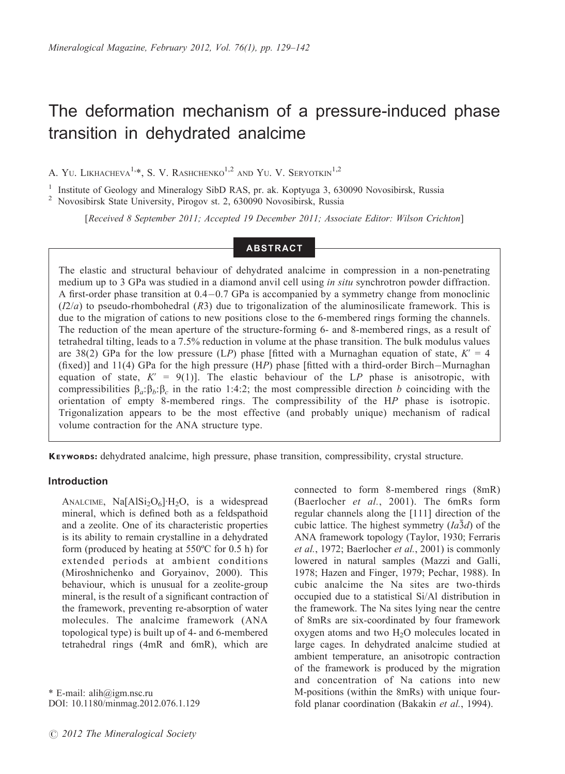# The deformation mechanism of a pressure-induced phase transition in dehydrated analcime

A. YU. LIKHACHEVA<sup>1,\*</sup>, S. V. RASHCHENKO<sup>1,2</sup> AND YU. V. SERYOTKIN<sup>1,2</sup>

<sup>1</sup> Institute of Geology and Mineralogy SibD RAS, pr. ak. Koptyuga 3, 630090 Novosibirsk, Russia  $2$  Novosibirsk State University, Pirogov st. 2, 630090 Novosibirsk, Russia

[Received 8 September 2011; Accepted 19 December 2011; Associate Editor: Wilson Crichton]

## ABSTRACT

The elastic and structural behaviour of dehydrated analcime in compression in a non-penetrating medium up to 3 GPa was studied in a diamond anvil cell using *in situ* synchrotron powder diffraction. A first-order phase transition at 0.4-0.7 GPa is accompanied by a symmetry change from monoclinic  $(I2/a)$  to pseudo-rhombohedral  $(R3)$  due to trigonalization of the aluminosilicate framework. This is due to the migration of cations to new positions close to the 6-membered rings forming the channels. The reduction of the mean aperture of the structure-forming 6- and 8-membered rings, as a result of tetrahedral tilting, leads to a 7.5% reduction in volume at the phase transition. The bulk modulus values are 38(2) GPa for the low pressure (LP) phase [fitted with a Murnaghan equation of state,  $K' = 4$ (fixed)] and 11(4) GPa for the high pressure (HP) phase [fitted with a third-order Birch-Murnaghan equation of state,  $K' = 9(1)$ . The elastic behaviour of the LP phase is anisotropic, with compressibilities  $\beta_a$ : $\beta_b$ : $\beta_c$  in the ratio 1:4:2; the most compressible direction b coinciding with the orientation of empty 8-membered rings. The compressibility of the HP phase is isotropic. Trigonalization appears to be the most effective (and probably unique) mechanism of radical volume contraction for the ANA structure type.

KEYWORDS: dehydrated analcime, high pressure, phase transition, compressibility, crystal structure.

#### Introduction

ANALCIME, Na $[AlSi<sub>2</sub>O<sub>6</sub>]$ ·H<sub>2</sub>O, is a widespread mineral, which is defined both as a feldspathoid and a zeolite. One of its characteristic properties is its ability to remain crystalline in a dehydrated form (produced by heating at 550ºC for 0.5 h) for extended periods at ambient conditions (Miroshnichenko and Goryainov, 2000). This behaviour, which is unusual for a zeolite-group mineral, is the result of a significant contraction of the framework, preventing re-absorption of water molecules. The analcime framework (ANA topological type) is built up of 4- and 6-membered tetrahedral rings (4mR and 6mR), which are

\* E-mail: alih@igm.nsc.ru DOI: 10.1180/minmag.2012.076.1.129

connected to form 8-membered rings (8mR) (Baerlocher et al., 2001). The 6mRs form regular channels along the [111] direction of the cubic lattice. The highest symmetry  $(Ia\bar{3}d)$  of the ANA framework topology (Taylor, 1930; Ferraris et al., 1972; Baerlocher et al., 2001) is commonly lowered in natural samples (Mazzi and Galli, 1978; Hazen and Finger, 1979; Pechar, 1988). In cubic analcime the Na sites are two-thirds occupied due to a statistical Si/Al distribution in the framework. The Na sites lying near the centre of 8mRs are six-coordinated by four framework oxygen atoms and two H<sub>2</sub>O molecules located in large cages. In dehydrated analcime studied at ambient temperature, an anisotropic contraction of the framework is produced by the migration and concentration of Na cations into new M-positions (within the 8mRs) with unique fourfold planar coordination (Bakakin et al., 1994).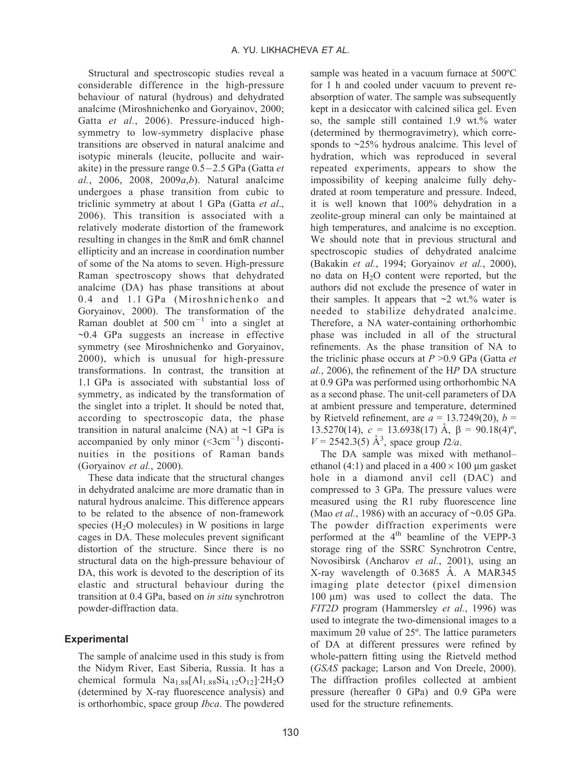Structural and spectroscopic studies reveal a considerable difference in the high-pressure behaviour of natural (hydrous) and dehydrated analcime (Miroshnichenko and Goryainov, 2000; Gatta et al., 2006). Pressure-induced highsymmetry to low-symmetry displacive phase transitions are observed in natural analcime and isotypic minerals (leucite, pollucite and wairakite) in the pressure range 0.5–2.5 GPa (Gatta et al., 2006, 2008, 2009 $a,b$ ). Natural analcime undergoes a phase transition from cubic to triclinic symmetry at about 1 GPa (Gatta et al., 2006). This transition is associated with a relatively moderate distortion of the framework resulting in changes in the 8mR and 6mR channel ellipticity and an increase in coordination number of some of the Na atoms to seven. High-pressure Raman spectroscopy shows that dehydrated analcime (DA) has phase transitions at about 0.4 and 1.1 GPa (Miroshnichenko and Goryainov, 2000). The transformation of the Raman doublet at  $500 \text{ cm}^{-1}$  into a singlet at  $\sim$ 0.4 GPa suggests an increase in effective symmetry (see Miroshnichenko and Goryainov, 2000), which is unusual for high-pressure transformations. In contrast, the transition at 1.1 GPa is associated with substantial loss of symmetry, as indicated by the transformation of the singlet into a triplet. It should be noted that, according to spectroscopic data, the phase transition in natural analcime (NA) at  $\sim$ 1 GPa is accompanied by only minor  $(\leq 3 \text{cm}^{-1})$  discontinuities in the positions of Raman bands (Goryainov et al., 2000).

These data indicate that the structural changes in dehydrated analcime are more dramatic than in natural hydrous analcime. This difference appears to be related to the absence of non-framework species  $(H<sub>2</sub>O$  molecules) in W positions in large cages in DA. These molecules prevent significant distortion of the structure. Since there is no structural data on the high-pressure behaviour of DA, this work is devoted to the description of its elastic and structural behaviour during the transition at 0.4 GPa, based on in situ synchrotron powder-diffraction data.

#### **Experimental**

The sample of analcime used in this study is from the Nidym River, East Siberia, Russia. It has a chemical formula  $Na<sub>1.88</sub>[Al<sub>1.88</sub>Si<sub>4.12</sub>O<sub>12</sub>]<sub>2</sub>H<sub>2</sub>O$ (determined by X-ray fluorescence analysis) and is orthorhombic, space group Ibca. The powdered

sample was heated in a vacuum furnace at 500ºC for 1 h and cooled under vacuum to prevent reabsorption of water. The sample was subsequently kept in a desiccator with calcined silica gel. Even so, the sample still contained 1.9 wt.% water (determined by thermogravimetry), which corresponds to ~25% hydrous analcime. This level of hydration, which was reproduced in several repeated experiments, appears to show the impossibility of keeping analcime fully dehydrated at room temperature and pressure. Indeed, it is well known that 100% dehydration in a zeolite-group mineral can only be maintained at high temperatures, and analcime is no exception. We should note that in previous structural and spectroscopic studies of dehydrated analcime (Bakakin et al., 1994; Goryainov et al., 2000), no data on  $H<sub>2</sub>O$  content were reported, but the authors did not exclude the presence of water in their samples. It appears that  $\sim$ 2 wt.% water is needed to stabilize dehydrated analcime. Therefore, a NA water-containing orthorhombic phase was included in all of the structural refinements. As the phase transition of NA to the triclinic phase occurs at  $P > 0.9$  GPa (Gatta et al., 2006), the refinement of the HP DA structure at 0.9 GPa was performed using orthorhombic NA as a second phase. The unit-cell parameters of DA at ambient pressure and temperature, determined by Rietveld refinement, are  $a = 13.7249(20)$ ,  $b =$ 13.5270(14),  $c = 13.6938(17)$   $\AA$ ,  $\beta = 90.18(4)$ °,  $V = 2542.3(5)$  Å<sup>3</sup>, space group  $I2/a$ .

The DA sample was mixed with methanol– ethanol (4:1) and placed in a  $400 \times 100$  µm gasket hole in a diamond anvil cell (DAC) and compressed to 3 GPa. The pressure values were measured using the R1 ruby fluorescence line (Mao *et al.*, 1986) with an accuracy of  $\sim 0.05$  GPa. The powder diffraction experiments were performed at the  $4<sup>th</sup>$  beamline of the VEPP-3 storage ring of the SSRC Synchrotron Centre, Novosibirsk (Ancharov et al., 2001), using an X-ray wavelength of  $0.3685$  Å. A MAR345 imaging plate detector (pixel dimension 100 μm) was used to collect the data. The FIT2D program (Hammersley et al., 1996) was used to integrate the two-dimensional images to a maximum 2 $\theta$  value of 25 $\degree$ . The lattice parameters of DA at different pressures were refined by whole-pattern fitting using the Rietveld method (GSAS package; Larson and Von Dreele, 2000). The diffraction profiles collected at ambient pressure (hereafter 0 GPa) and 0.9 GPa were used for the structure refinements.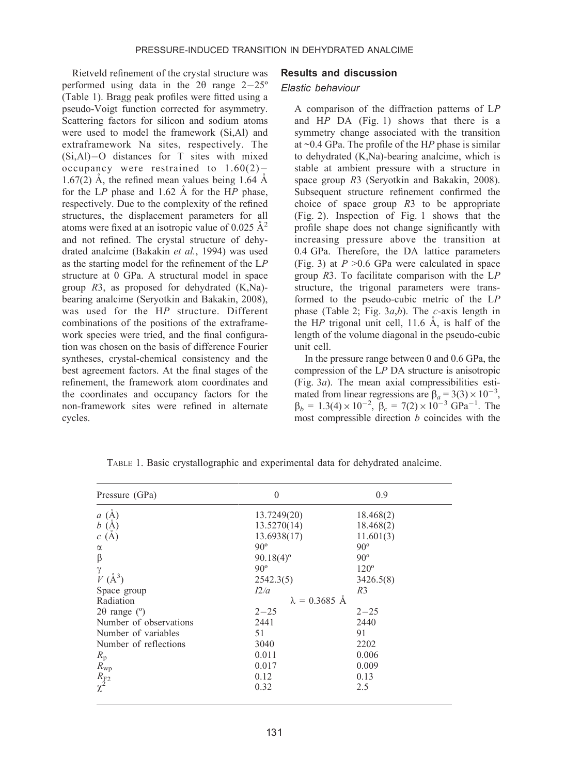Rietveld refinement of the crystal structure was performed using data in the  $2\theta$  range  $2-25^{\circ}$ (Table 1). Bragg peak profiles were fitted using a pseudo-Voigt function corrected for asymmetry. Scattering factors for silicon and sodium atoms were used to model the framework (Si,Al) and extraframework Na sites, respectively. The (Si,Al)-O distances for T sites with mixed occupancy were restrained to  $1.60(2)$ -1.67(2)  $\AA$ , the refined mean values being 1.64  $\AA$ for the  $LP$  phase and 1.62  $\AA$  for the HP phase, respectively. Due to the complexity of the refined structures, the displacement parameters for all atoms were fixed at an isotropic value of 0.025  $\AA^2$ and not refined. The crystal structure of dehydrated analcime (Bakakin et al., 1994) was used as the starting model for the refinement of the LP structure at 0 GPa. A structural model in space group R3, as proposed for dehydrated (K,Na) bearing analcime (Seryotkin and Bakakin, 2008), was used for the HP structure. Different combinations of the positions of the extraframework species were tried, and the final configuration was chosen on the basis of difference Fourier syntheses, crystal-chemical consistency and the best agreement factors. At the final stages of the refinement, the framework atom coordinates and the coordinates and occupancy factors for the non-framework sites were refined in alternate cycles.

#### Results and discussion

#### Elastic behaviour

A comparison of the diffraction patterns of LP and  $HP$  DA (Fig. 1) shows that there is a symmetry change associated with the transition at  $\sim$ 0.4 GPa. The profile of the HP phase is similar to dehydrated (K,Na)-bearing analcime, which is stable at ambient pressure with a structure in space group R3 (Seryotkin and Bakakin, 2008). Subsequent structure refinement confirmed the choice of space group R3 to be appropriate (Fig. 2). Inspection of Fig. 1 shows that the profile shape does not change significantly with increasing pressure above the transition at 0.4 GPa. Therefore, the DA lattice parameters (Fig. 3) at  $P > 0.6$  GPa were calculated in space group  $R3$ . To facilitate comparison with the  $LP$ structure, the trigonal parameters were transformed to the pseudo-cubic metric of the LP phase (Table 2; Fig.  $3a,b$ ). The c-axis length in the HP trigonal unit cell,  $11.6 \text{ Å}$ , is half of the length of the volume diagonal in the pseudo-cubic unit cell.

In the pressure range between 0 and 0.6 GPa, the compression of the LP DA structure is anisotropic (Fig.  $3a$ ). The mean axial compressibilities estimated from linear regressions are  $\beta_a = 3(3) \times 10^{-3}$ ,  $\beta_b = 1.3(4) \times 10^{-2}$ ,  $\beta_c = 7(2) \times 10^{-3}$  GPa<sup>-1</sup>. The most compressible direction  $b$  coincides with the

| Pressure (GPa)                | $\Omega$                | 0.9         |  |
|-------------------------------|-------------------------|-------------|--|
| $a \; (\mathrm{\AA})$         | 13.7249(20)             | 18.468(2)   |  |
| b(A)                          | 13.5270(14)             | 18.468(2)   |  |
| c(A)                          | 13.6938(17)             | 11.601(3)   |  |
| $\alpha$                      | $90^\circ$              | $90^\circ$  |  |
| β                             | $90.18(4)$ <sup>o</sup> | $90^\circ$  |  |
| γ                             | $90^\circ$              | $120^\circ$ |  |
| $V(A^3)$                      | 2542.3(5)               | 3426.5(8)   |  |
| Space group                   | I2/a                    | R3          |  |
| Radiation                     | $\lambda = 0.3685$ Å    |             |  |
| $2\theta$ range ( $\degree$ ) | $2 - 25$                | $2 - 25$    |  |
| Number of observations        | 2441                    | 2440        |  |
| Number of variables           | 51                      | 91          |  |
| Number of reflections         | 3040                    | 2202        |  |
| $R_{\rm p}$                   | 0.011                   | 0.006       |  |
| $R_{\rm wp}$                  | 0.017                   | 0.009       |  |
|                               | 0.12                    | 0.13        |  |
| $rac{R_{F2}}{\chi^2}$         | 0.32                    | 2.5         |  |

TABLE 1. Basic crystallographic and experimental data for dehydrated analcime.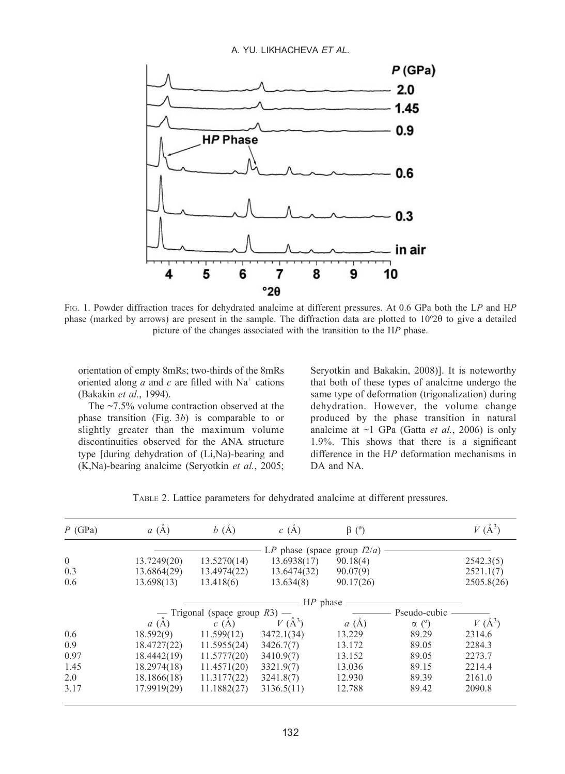

FIG. 1. Powder diffraction traces for dehydrated analcime at different pressures. At 0.6 GPa both the LP and HP phase (marked by arrows) are present in the sample. The diffraction data are plotted to  $10^{\circ}2\theta$  to give a detailed picture of the changes associated with the transition to the HP phase.

orientation of empty 8mRs; two-thirds of the 8mRs oriented along  $a$  and  $c$  are filled with Na<sup>+</sup> cations (Bakakin et al., 1994).

The ~7.5% volume contraction observed at the phase transition (Fig. 3b) is comparable to or slightly greater than the maximum volume discontinuities observed for the ANA structure type [during dehydration of (Li,Na)-bearing and (K,Na)-bearing analcime (Seryotkin et al., 2005; Seryotkin and Bakakin, 2008)]. It is noteworthy that both of these types of analcime undergo the same type of deformation (trigonalization) during dehydration. However, the volume change produced by the phase transition in natural analcime at  $\sim$ 1 GPa (Gatta *et al.*, 2006) is only 1.9%. This shows that there is a significant difference in the HP deformation mechanisms in DA and NA.

TABLE 2. Lattice parameters for dehydrated analcime at different pressures.

| $P$ (GPa)      | a(A)        | b(A)                             | c(A)                           | $\beta$ (°)     |              | $V(\AA^3)$ |
|----------------|-------------|----------------------------------|--------------------------------|-----------------|--------------|------------|
|                |             |                                  | LP phase (space group $I2/a$ ) |                 |              |            |
| $\overline{0}$ | 13.7249(20) | 13.5270(14)                      | 13.6938(17)                    | 90.18(4)        |              | 2542.3(5)  |
| 0.3            | 13.6864(29) | 13.4974(22)                      | 13.6474(32)                    | 90.07(9)        |              | 2521.1(7)  |
| 0.6            | 13.698(13)  | 13.418(6)                        | 13.634(8)                      | 90.17(26)       |              | 2505.8(26) |
|                |             |                                  | $HP$ phase -                   |                 |              |            |
|                |             | — Trigonal (space group $R3$ ) — |                                |                 | Pseudo-cubic |            |
|                | a(A)        | c(A)                             | $V(A^3)$                       | $\circ$<br>a(A) | $\alpha$ (°) | $V(\AA^3)$ |
| 0.6            | 18.592(9)   | 11.599(12)                       | 3472.1(34)                     | 13.229          | 89.29        | 2314.6     |
| 0.9            | 18.4727(22) | 11.5955(24)                      | 3426.7(7)                      | 13.172          | 89.05        | 2284.3     |
| 0.97           | 18.4442(19) | 11.5777(20)                      | 3410.9(7)                      | 13.152          | 89.05        | 2273.7     |
| 1.45           | 18.2974(18) | 11.4571(20)                      | 3321.9(7)                      | 13.036          | 89.15        | 2214.4     |
| 2.0            | 18.1866(18) | 11.3177(22)                      | 3241.8(7)                      | 12.930          | 89.39        | 2161.0     |
| 3.17           | 17.9919(29) | 11.1882(27)                      | 3136.5(11)                     | 12.788          | 89.42        | 2090.8     |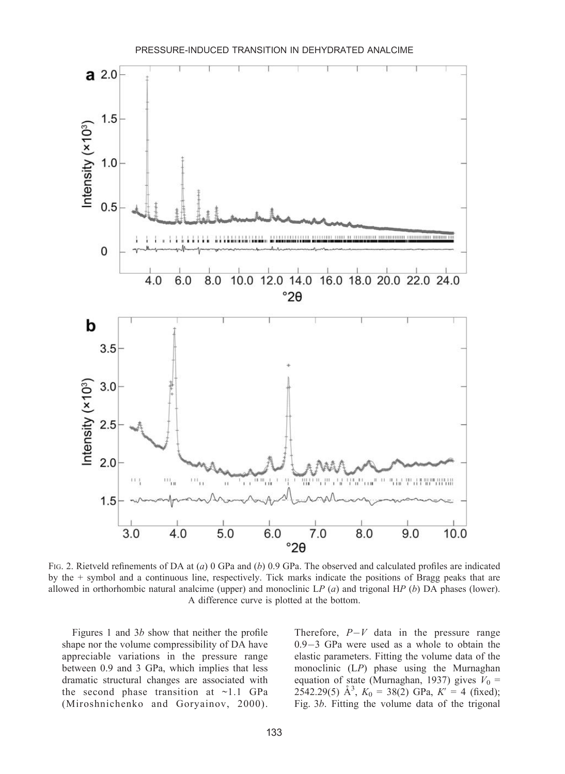

FIG. 2. Rietveld refinements of DA at (a) 0 GPa and (b) 0.9 GPa. The observed and calculated profiles are indicated by the + symbol and a continuous line, respectively. Tick marks indicate the positions of Bragg peaks that are allowed in orthorhombic natural analcime (upper) and monoclinic  $LP(a)$  and trigonal HP (b) DA phases (lower). A difference curve is plotted at the bottom.

Figures 1 and 3b show that neither the profile shape nor the volume compressibility of DA have appreciable variations in the pressure range between 0.9 and 3 GPa, which implies that less dramatic structural changes are associated with the second phase transition at  $\sim$ 1.1 GPa (Miroshnichenko and Goryainov, 2000).

Therefore,  $P-V$  data in the pressure range 0.9-3 GPa were used as a whole to obtain the elastic parameters. Fitting the volume data of the monoclinic (LP) phase using the Murnaghan equation of state (Murnaghan, 1937) gives  $V_0$  = 2542.29(5)  $\mathring{A}^3$ ,  $K_0 = 38(2)$  GPa,  $K' = 4$  (fixed); Fig. 3b. Fitting the volume data of the trigonal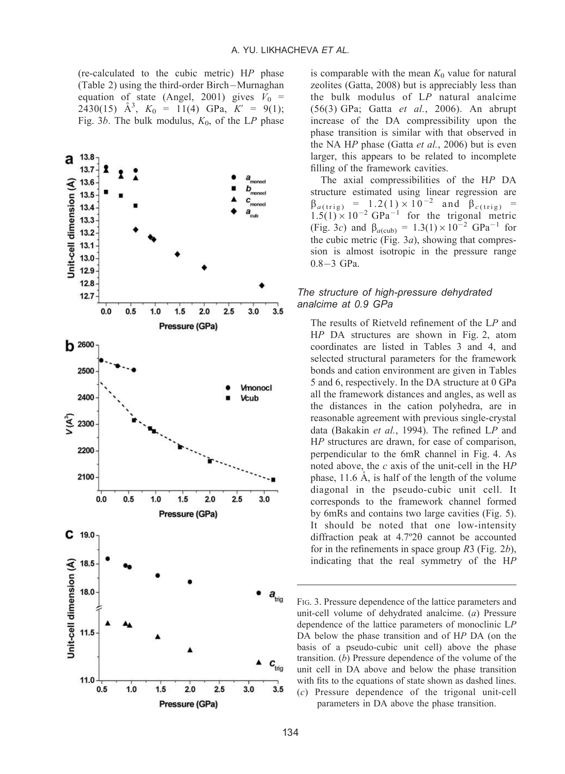(re-calculated to the cubic metric) HP phase (Table 2) using the third-order Birch-Murnaghan equation of state (Angel, 2001) gives  $V_0$  = 2430(15)  $\mathring{A}^3$ ,  $K_0 = 11(4)$  GPa,  $K' = 9(1)$ ; Fig. 3b. The bulk modulus,  $K_0$ , of the LP phase



is comparable with the mean  $K_0$  value for natural zeolites (Gatta, 2008) but is appreciably less than the bulk modulus of LP natural analcime (56(3) GPa; Gatta et al., 2006). An abrupt increase of the DA compressibility upon the phase transition is similar with that observed in the NA HP phase (Gatta et al., 2006) but is even larger, this appears to be related to incomplete filling of the framework cavities.

The axial compressibilities of the HP DA structure estimated using linear regression are  $\beta_{a(\text{trig})} = 1.2(1) \times 10^{-2}$  and  $\beta_{c(\text{trig})} =$  $1.5(1) \times 10^{-2}$  GPa<sup>-1</sup> for the trigonal metric (Fig. 3c) and  $\beta_{a(cub)} = 1.3(1) \times 10^{-2} \text{ GPa}^{-1}$  for the cubic metric (Fig.  $3a$ ), showing that compression is almost isotropic in the pressure range 0.8-3 GPa.

#### The structure of high-pressure dehydrated analcime at 0.9 GPa

The results of Rietveld refinement of the LP and HP DA structures are shown in Fig. 2, atom coordinates are listed in Tables 3 and 4, and selected structural parameters for the framework bonds and cation environment are given in Tables 5 and 6, respectively. In the DA structure at 0 GPa all the framework distances and angles, as well as the distances in the cation polyhedra, are in reasonable agreement with previous single-crystal data (Bakakin et al., 1994). The refined LP and HP structures are drawn, for ease of comparison, perpendicular to the 6mR channel in Fig. 4. As noted above, the  $c$  axis of the unit-cell in the  $HP$ phase,  $11.6$   $\AA$ , is half of the length of the volume diagonal in the pseudo-cubic unit cell. It corresponds to the framework channel formed by 6mRs and contains two large cavities (Fig. 5). It should be noted that one low-intensity diffraction peak at  $4.7°2\theta$  cannot be accounted for in the refinements in space group  $R3$  (Fig. 2b), indicating that the real symmetry of the HP

FIG. 3. Pressure dependence of the lattice parameters and unit-cell volume of dehydrated analcime. (a) Pressure dependence of the lattice parameters of monoclinic LP DA below the phase transition and of HP DA (on the basis of a pseudo-cubic unit cell) above the phase transition. (b) Pressure dependence of the volume of the unit cell in DA above and below the phase transition with fits to the equations of state shown as dashed lines. (c) Pressure dependence of the trigonal unit-cell parameters in DA above the phase transition.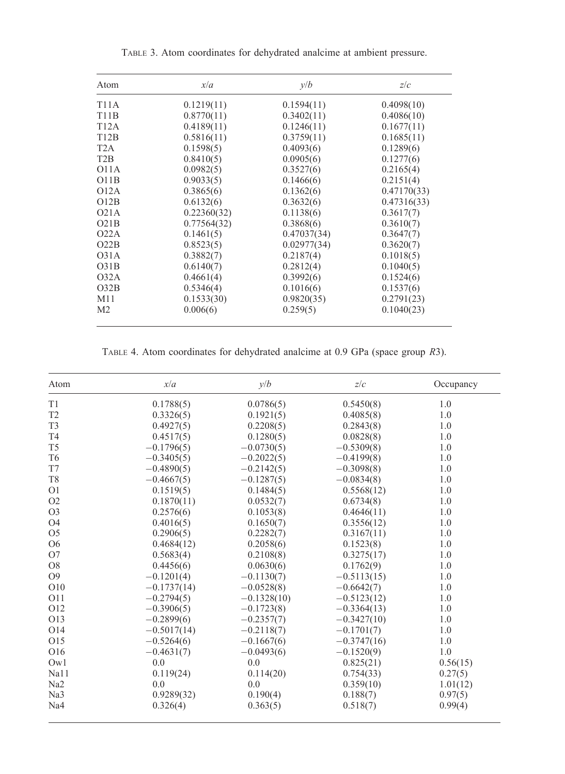| Atom              | x/a         | v/b         | z/c         |  |
|-------------------|-------------|-------------|-------------|--|
| <b>T11A</b>       | 0.1219(11)  | 0.1594(11)  | 0.4098(10)  |  |
| <b>T11B</b>       | 0.8770(11)  | 0.3402(11)  | 0.4086(10)  |  |
| T12A              | 0.4189(11)  | 0.1246(11)  | 0.1677(11)  |  |
| T12B              | 0.5816(11)  | 0.3759(11)  | 0.1685(11)  |  |
| T2A               | 0.1598(5)   | 0.4093(6)   | 0.1289(6)   |  |
| T2B               | 0.8410(5)   | 0.0905(6)   | 0.1277(6)   |  |
| O11A              | 0.0982(5)   | 0.3527(6)   | 0.2165(4)   |  |
| O11B              | 0.9033(5)   | 0.1466(6)   | 0.2151(4)   |  |
| O12A              | 0.3865(6)   | 0.1362(6)   | 0.47170(33) |  |
| O12B              | 0.6132(6)   | 0.3632(6)   | 0.47316(33) |  |
| O21A              | 0.22360(32) | 0.1138(6)   | 0.3617(7)   |  |
| O21B              | 0.77564(32) | 0.3868(6)   | 0.3610(7)   |  |
| O <sub>22</sub> A | 0.1461(5)   | 0.47037(34) | 0.3647(7)   |  |
| O22B              | 0.8523(5)   | 0.02977(34) | 0.3620(7)   |  |
| O31A              | 0.3882(7)   | 0.2187(4)   | 0.1018(5)   |  |
| O31B              | 0.6140(7)   | 0.2812(4)   | 0.1040(5)   |  |
| O32A              | 0.4661(4)   | 0.3992(6)   | 0.1524(6)   |  |
| O32B              | 0.5346(4)   | 0.1016(6)   | 0.1537(6)   |  |
| M11               | 0.1533(30)  | 0.9820(35)  | 0.2791(23)  |  |
| M <sub>2</sub>    | 0.006(6)    | 0.259(5)    | 0.1040(23)  |  |

TABLE 3. Atom coordinates for dehydrated analcime at ambient pressure.

TABLE 4. Atom coordinates for dehydrated analcime at 0.9 GPa (space group R3).

| Atom            | x/a           | v/b           | z/c           | Occupancy |
|-----------------|---------------|---------------|---------------|-----------|
| T1              | 0.1788(5)     | 0.0786(5)     | 0.5450(8)     | 1.0       |
| T <sub>2</sub>  | 0.3326(5)     | 0.1921(5)     | 0.4085(8)     | 1.0       |
| T <sub>3</sub>  | 0.4927(5)     | 0.2208(5)     | 0.2843(8)     | 1.0       |
| T <sub>4</sub>  | 0.4517(5)     | 0.1280(5)     | 0.0828(8)     | 1.0       |
| T <sub>5</sub>  | $-0.1796(5)$  | $-0.0730(5)$  | $-0.5309(8)$  | 1.0       |
| T <sub>6</sub>  | $-0.3405(5)$  | $-0.2022(5)$  | $-0.4199(8)$  | 1.0       |
| T7              | $-0.4890(5)$  | $-0.2142(5)$  | $-0.3098(8)$  | 1.0       |
| T <sub>8</sub>  | $-0.4667(5)$  | $-0.1287(5)$  | $-0.0834(8)$  | 1.0       |
| O <sub>1</sub>  | 0.1519(5)     | 0.1484(5)     | 0.5568(12)    | 1.0       |
| O <sub>2</sub>  | 0.1870(11)    | 0.0532(7)     | 0.6734(8)     | 1.0       |
| O <sub>3</sub>  | 0.2576(6)     | 0.1053(8)     | 0.4646(11)    | 1.0       |
| <b>O4</b>       | 0.4016(5)     | 0.1650(7)     | 0.3556(12)    | 1.0       |
| O <sub>5</sub>  | 0.2906(5)     | 0.2282(7)     | 0.3167(11)    | 1.0       |
| <b>O6</b>       | 0.4684(12)    | 0.2058(6)     | 0.1523(8)     | 1.0       |
| O7              | 0.5683(4)     | 0.2108(8)     | 0.3275(17)    | 1.0       |
| O <sub>8</sub>  | 0.4456(6)     | 0.0630(6)     | 0.1762(9)     | 1.0       |
| O <sub>9</sub>  | $-0.1201(4)$  | $-0.1130(7)$  | $-0.5113(15)$ | 1.0       |
| O10             | $-0.1737(14)$ | $-0.0528(8)$  | $-0.6642(7)$  | 1.0       |
| O <sub>11</sub> | $-0.2794(5)$  | $-0.1328(10)$ | $-0.5123(12)$ | 1.0       |
| O12             | $-0.3906(5)$  | $-0.1723(8)$  | $-0.3364(13)$ | 1.0       |
| O13             | $-0.2899(6)$  | $-0.2357(7)$  | $-0.3427(10)$ | 1.0       |
| O14             | $-0.5017(14)$ | $-0.2118(7)$  | $-0.1701(7)$  | 1.0       |
| O15             | $-0.5264(6)$  | $-0.1667(6)$  | $-0.3747(16)$ | 1.0       |
| O16             | $-0.4631(7)$  | $-0.0493(6)$  | $-0.1520(9)$  | 1.0       |
| Ow1             | 0.0           | 0.0           | 0.825(21)     | 0.56(15)  |
| Na11            | 0.119(24)     | 0.114(20)     | 0.754(33)     | 0.27(5)   |
| Na <sub>2</sub> | 0.0           | 0.0           | 0.359(10)     | 1.01(12)  |
| Na <sub>3</sub> | 0.9289(32)    | 0.190(4)      | 0.188(7)      | 0.97(5)   |
| Na <sub>4</sub> | 0.326(4)      | 0.363(5)      | 0.518(7)      | 0.99(4)   |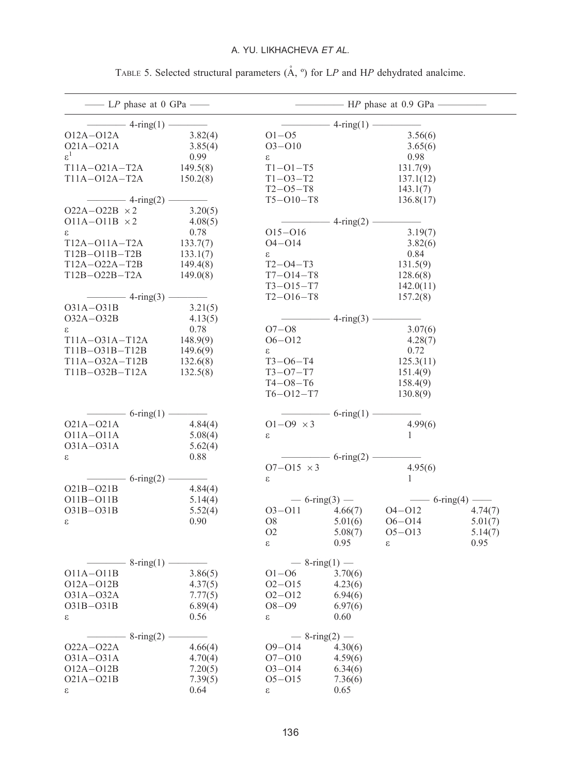# A. YU. LIKHACHEVA ET AL.

|                      | $\frac{1}{2}$ LP phase at 0 GPa $\frac{1}{2}$ |                            |                     |                                                            | $\longrightarrow$ HP phase at 0.9 GPa -        |         |
|----------------------|-----------------------------------------------|----------------------------|---------------------|------------------------------------------------------------|------------------------------------------------|---------|
|                      | $\frac{1}{\sqrt{1-\frac{1}{2}}}\$ 4-ring(1) – |                            |                     | $-4$ -ring(1) –                                            |                                                |         |
| 012A-012A            |                                               | 3.82(4)                    | $O1 - O5$           |                                                            | 3.56(6)                                        |         |
| $O21A - O21A$        |                                               | 3.85(4)                    | $O3 - O10$          |                                                            | 3.65(6)                                        |         |
| $\varepsilon^1$      |                                               | 0.99                       | 3                   |                                                            | 0.98                                           |         |
| $T11A - 021A - T2A$  |                                               | 149.5(8)                   | $T1 - 01 - T5$      |                                                            | 131.7(9)                                       |         |
| T11A-012A-T2A        |                                               | 150.2(8)                   | $T1 - O3 - T2$      |                                                            | 137.1(12)                                      |         |
|                      |                                               |                            | $T2 - 05 - T8$      |                                                            | 143.1(7)                                       |         |
|                      | $\equiv$ 4-ring(2) $\equiv$                   |                            | $T5 - 010 - T8$     |                                                            | 136.8(17)                                      |         |
| $O22A-O22B \times 2$ |                                               | 3.20(5)                    |                     |                                                            |                                                |         |
| $O11A-O11B \times 2$ |                                               | 4.08(5)                    |                     | $-4$ -ring(2) $-$                                          |                                                |         |
| 3                    |                                               | 0.78                       | $O15 - O16$         |                                                            | 3.19(7)                                        |         |
| T12A-O11A-T2A        |                                               | 133.7(7)                   | $O4 - O14$          |                                                            | 3.82(6)                                        |         |
| T12B-O11B-T2B        |                                               | 133.1(7)                   | ε                   |                                                            | 0.84                                           |         |
| T12A-O22A-T2B        |                                               |                            | T2-04-T3            |                                                            | 131.5(9)                                       |         |
| T12B-O22B-T2A        |                                               | 149.4(8)                   |                     |                                                            |                                                |         |
|                      |                                               | 149.0(8)                   | $T7 - O14 - T8$     |                                                            | 128.6(8)                                       |         |
|                      |                                               | $\mathcal{L}(\mathcal{L})$ | $T3 - 015 - T7$     |                                                            | 142.0(11)                                      |         |
|                      | $\frac{4 \cdot \text{ring}(3)}{}$             |                            | $T2 - 016 - T8$     |                                                            | 157.2(8)                                       |         |
| 031A-031B            |                                               | 3.21(5)                    |                     |                                                            |                                                |         |
| 032A-032B            |                                               | 4.13(5)                    |                     | $- 4$ -ring(3) $-$                                         |                                                |         |
| 3                    |                                               | 0.78                       | $O7 - O8$           |                                                            | 3.07(6)                                        |         |
| T11A-031A-T12A       |                                               | 148.9(9)                   | $O6 - O12$          |                                                            | 4.28(7)                                        |         |
| T11B-031B-T12B       |                                               | 149.6(9)                   | $\epsilon$          |                                                            | 0.72                                           |         |
| T11A-032A-T12B       |                                               | 132.6(8)                   | $T3 - 06 - T4$      |                                                            | 125.3(11)                                      |         |
| T11B-032B-T12A       |                                               | 132.5(8)                   | $T3 - 07 - T7$      |                                                            | 151.4(9)                                       |         |
|                      |                                               |                            | $T4 - 08 - T6$      |                                                            | 158.4(9)                                       |         |
|                      |                                               |                            | $T6 - O12 - T7$     |                                                            | 130.8(9)                                       |         |
|                      | $\frac{1}{6 - \text{ring}(1)}$                |                            |                     | $\frac{1}{\sqrt{1-\frac{1}{2}}}\cdot 6 - \text{ring}(1) =$ |                                                |         |
| $O21A-O21A$          |                                               | 4.84(4)                    | $01 - 09 \times 3$  |                                                            | 4.99(6)                                        |         |
| 011A-011A            |                                               | 5.08(4)                    | ε                   |                                                            | $\mathbf{1}$                                   |         |
| 031A-031A            |                                               | 5.62(4)                    |                     |                                                            |                                                |         |
| ε                    |                                               | 0.88                       |                     | $-6$ -ring(2) -                                            |                                                |         |
|                      |                                               |                            | $O7 - O15 \times 3$ |                                                            | 4.95(6)                                        |         |
|                      | $-6$ -ring(2) $-$                             |                            | 3                   |                                                            | $\mathbf{1}$                                   |         |
| $O21B - O21B$        |                                               | 4.84(4)                    |                     |                                                            |                                                |         |
| 011B-011B            |                                               | 5.14(4)                    |                     | $-6$ -ring(3) –                                            | $\frac{1}{\sqrt{1-\frac{1}{2}}}\left(4\right)$ |         |
| $O31B - O31B$        |                                               | 5.52(4)                    | $O3 - O11$          | 4.66(7)                                                    | 04-012                                         | 4.74(7) |
| 3                    |                                               | 0.90                       | O8                  | 5.01(6)                                                    | $O6 - O14$                                     | 5.01(7) |
|                      |                                               |                            | O <sub>2</sub>      | 5.08(7)                                                    | $O5 - O13$                                     | 5.14(7) |
|                      |                                               |                            | ε                   | 0.95                                                       | 3                                              | 0.95    |
|                      | $- 8$ -ring(1) –                              |                            | $-8$ -ring(1) $-$   |                                                            |                                                |         |
| $O11A - O11B$        |                                               | 3.86(5)                    | $O1 - O6$           | 3.70(6)                                                    |                                                |         |
| $O12A - O12B$        |                                               | 4.37(5)                    | $O2 - O15$          | 4.23(6)                                                    |                                                |         |
| 031A-032A            |                                               | 7.77(5)                    | $O2 - O12$          | 6.94(6)                                                    |                                                |         |
| O31B-O31B            |                                               | 6.89(4)                    | $O8 - O9$           | 6.97(6)                                                    |                                                |         |
| ε                    |                                               | 0.56                       | ε                   | 0.60                                                       |                                                |         |
|                      |                                               |                            |                     |                                                            |                                                |         |
|                      | $8\text{-ring}(2)$                            |                            | $-8$ -ring(2) $-$   |                                                            |                                                |         |
| $O22A - O22A$        |                                               | 4.66(4)                    | $O9 - O14$          | 4.30(6)                                                    |                                                |         |
| $O31A - O31A$        |                                               | 4.70(4)                    | $O7 - O10$          | 4.59(6)                                                    |                                                |         |
| $O12A-O12B$          |                                               | 7.20(5)                    | $O3 - O14$          | 6.34(6)                                                    |                                                |         |
| $O21A - O21B$        |                                               | 7.39(5)                    | $O5-O15$            | 7.36(6)                                                    |                                                |         |
| ε                    |                                               | 0.64                       | S                   | 0.65                                                       |                                                |         |

TABLE 5. Selected structural parameters  $(\mathring{A}, \degree)$  for LP and HP dehydrated analcime.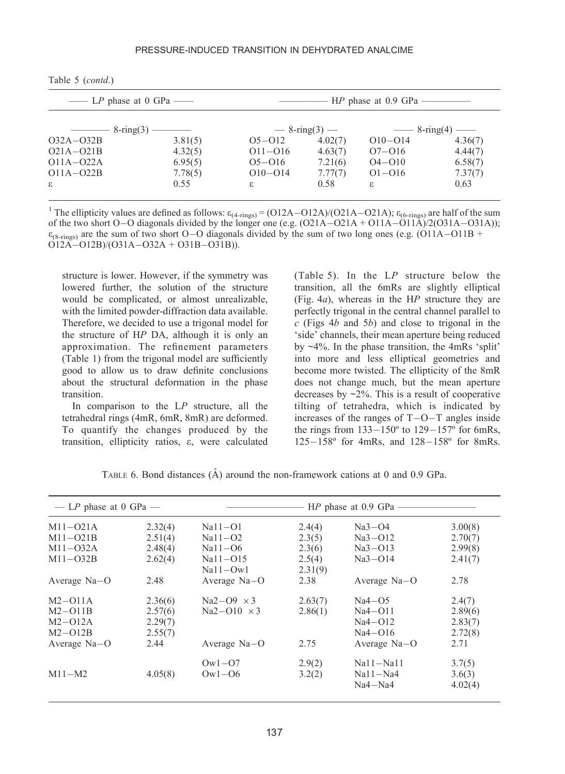| $\equiv$ LP phase at 0 GPa $\equiv$  |         | - HP phase at 0.9 GPa — |                   |             |                                      |  |  |  |
|--------------------------------------|---------|-------------------------|-------------------|-------------|--------------------------------------|--|--|--|
| $\frac{\sim}{8\cdot \text{ring}(3)}$ |         |                         | $-8$ -ring(3) $-$ |             | $\frac{3}{2}$ -ring(4) $\frac{3}{2}$ |  |  |  |
| $O32A - O32B$                        | 3.81(5) | $O5-O12$                | 4.02(7)           | $O10 - O14$ | 4.36(7)                              |  |  |  |
| $O21A-O21B$                          | 4.32(5) | $O11 - O16$             | 4.63(7)           | $O7 - O16$  | 4.44(7)                              |  |  |  |
| $O11A - O22A$                        | 6.95(5) | $O5 - O16$              | 7.21(6)           | $O4 - O10$  | 6.58(7)                              |  |  |  |
| $O11A - O22B$                        | 7.78(5) | $O10 - O14$             | 7.77(7)           | $O1 - O16$  | 7.37(7)                              |  |  |  |
| $\mathcal{E}$                        | 0.55    | $\epsilon$              | 0.58              | ε.          | 0.63                                 |  |  |  |

Table 5 (contd.)

<sup>1</sup> The ellipticity values are defined as follows:  $\varepsilon_{(4\text{-rings})} = (O12A - O12A)/(O21A - O21A)$ ;  $\varepsilon_{(6\text{-rings})}$  are half of the sum of the two short  $O-O$  diagonals divided by the longer one (e.g.  $(O21A - O21A + O11A - O11A)/2(O31A - O31A))$ ;  $\varepsilon_{(8\text{-rings})}$  are the sum of two short O–O diagonals divided by the sum of two long ones (e.g. (O11A–O11B + O12A-O12B)/(O31A-O32A + O31B-O31B)).

structure is lower. However, if the symmetry was lowered further, the solution of the structure would be complicated, or almost unrealizable, with the limited powder-diffraction data available. Therefore, we decided to use a trigonal model for the structure of HP DA, although it is only an approximation. The refinement parameters (Table 1) from the trigonal model are sufficiently good to allow us to draw definite conclusions about the structural deformation in the phase transition.

In comparison to the  $LP$  structure, all the tetrahedral rings (4mR, 6mR, 8mR) are deformed. To quantify the changes produced by the transition, ellipticity ratios, e, were calculated

(Table 5). In the LP structure below the transition, all the 6mRs are slightly elliptical (Fig. 4a), whereas in the HP structure they are perfectly trigonal in the central channel parallel to  $c$  (Figs 4b and 5b) and close to trigonal in the 'side' channels, their mean aperture being reduced by ~4%. In the phase transition, the 4mRs 'split' into more and less elliptical geometries and become more twisted. The ellipticity of the 8mR does not change much, but the mean aperture decreases by  $\sim$ 2%. This is a result of cooperative tilting of tetrahedra, which is indicated by increases of the ranges of  $T-O-T$  angles inside the rings from  $133-150^{\circ}$  to  $129-157^{\circ}$  for 6mRs, 125-158º for 4mRs, and 128-158º for 8mRs.

| — LP phase at 0 GPa — |         | $HP$ phase at 0.9 GPa –    |                   |                |         |  |  |
|-----------------------|---------|----------------------------|-------------------|----------------|---------|--|--|
| $M11-021A$            | 2.32(4) | $Na11-O1$                  | 2.4(4)            | $Na3-O4$       | 3.00(8) |  |  |
| $M11 - O21B$          | 2.51(4) | $Na11-O2$                  | 2.3(5)            | $Na3-O12$      | 2.70(7) |  |  |
| $M11-032A$            | 2.48(4) | $Na11-06$                  | 2.3(6)            | $Na3-O13$      | 2.99(8) |  |  |
| $M11 - O32B$          | 2.62(4) | $Na11 - O15$<br>$Na11-Ow1$ | 2.5(4)<br>2.31(9) | $Na3-O14$      | 2.41(7) |  |  |
| Average $Na-O$        | 2.48    | Average Na-O               | 2.38              | Average $Na-O$ | 2.78    |  |  |
| $M2 - O11A$           | 2.36(6) | $Na2-O9 \times 3$          | 2.63(7)           | $Na4-O5$       | 2.4(7)  |  |  |
| $M2-O11B$             | 2.57(6) | $Na2-O10 \times 3$         | 2.86(1)           | $Na4-O11$      | 2.89(6) |  |  |
| $M2 - O12A$           | 2.29(7) |                            |                   | $Na4-O12$      | 2.83(7) |  |  |
| $M2-O12B$             | 2.55(7) |                            |                   | $Na4-O16$      | 2.72(8) |  |  |
| Average Na-O          | 2.44    | Average $Na-O$             | 2.75              | Average $Na-O$ | 2.71    |  |  |
|                       |         | $Ow1 - O7$                 | 2.9(2)            | $Na11-Na11$    | 3.7(5)  |  |  |
| $M11-M2$              | 4.05(8) | $\text{Ow1}-\text{O6}$     | 3.2(2)            | $Na11-Na4$     | 3.6(3)  |  |  |
|                       |         |                            |                   | $Na4-Na4$      | 4.02(4) |  |  |

TABLE 6. Bond distances  $(A)$  around the non-framework cations at 0 and 0.9 GPa.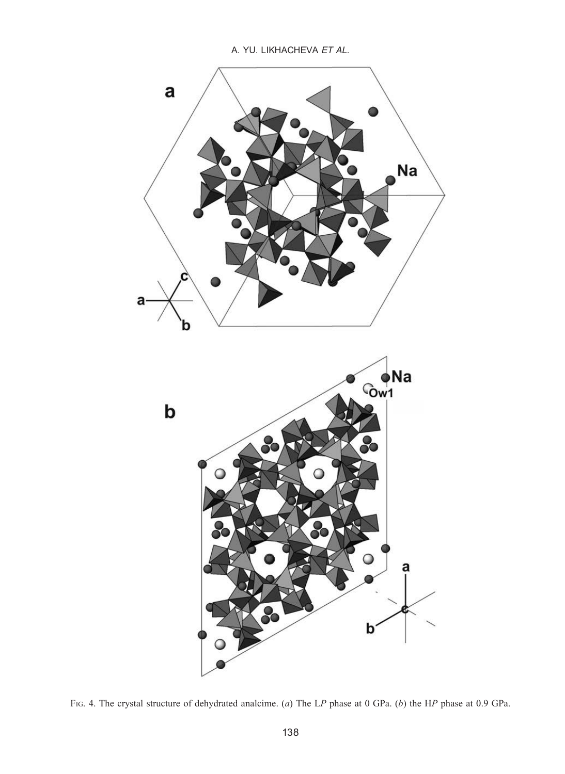

FIG. 4. The crystal structure of dehydrated analcime. (a) The LP phase at 0 GPa. (b) the HP phase at 0.9 GPa.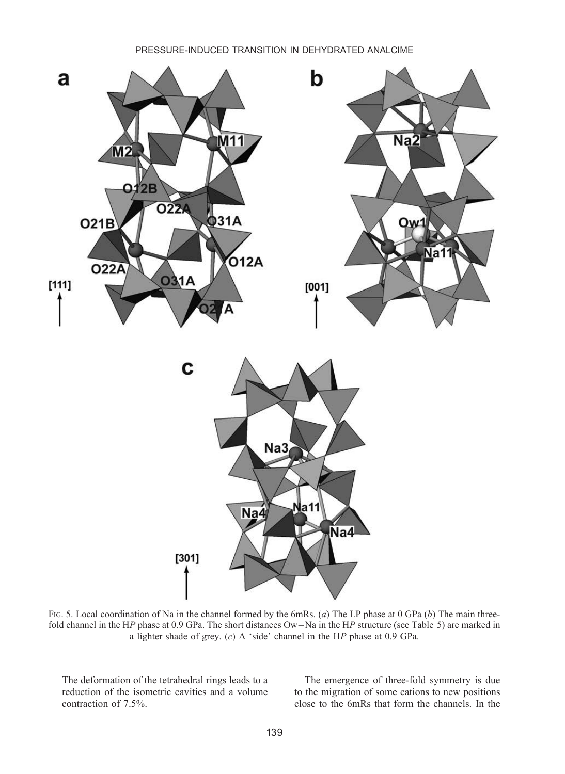

FIG. 5. Local coordination of Na in the channel formed by the 6mRs. (a) The LP phase at 0 GPa (b) The main threefold channel in the HP phase at 0.9 GPa. The short distances Ow-Na in the HP structure (see Table 5) are marked in a lighter shade of grey. (c) A 'side' channel in the HP phase at 0.9 GPa.

The deformation of the tetrahedral rings leads to a reduction of the isometric cavities and a volume contraction of 7.5%.

The emergence of three-fold symmetry is due to the migration of some cations to new positions close to the 6mRs that form the channels. In the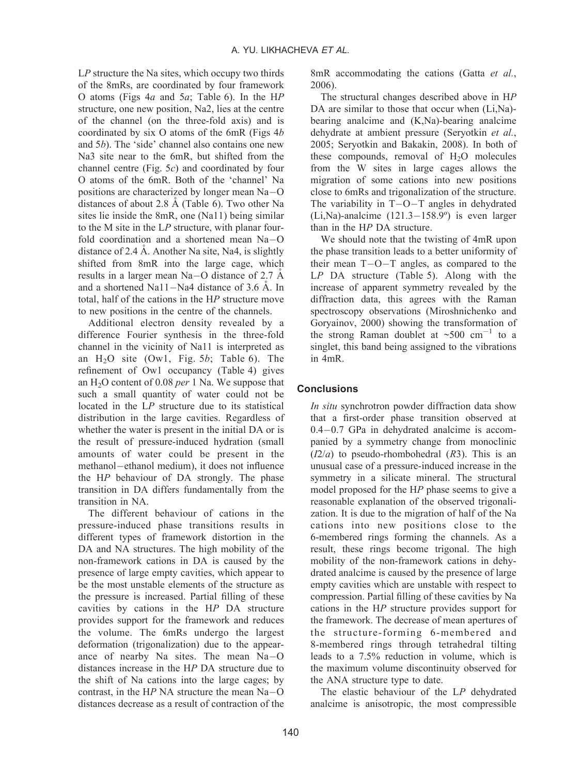$LP$  structure the Na sites, which occupy two thirds of the 8mRs, are coordinated by four framework O atoms (Figs  $4a$  and  $5a$ ; Table 6). In the HP structure, one new position, Na2, lies at the centre of the channel (on the three-fold axis) and is coordinated by six O atoms of the 6mR (Figs  $4b$ and 5b). The 'side' channel also contains one new Na3 site near to the 6mR, but shifted from the channel centre (Fig. 5c) and coordinated by four O atoms of the 6mR. Both of the 'channel' Na positions are characterized by longer mean Na-O distances of about 2.8  $\AA$  (Table 6). Two other Na sites lie inside the 8mR, one (Na11) being similar to the M site in the LP structure, with planar fourfold coordination and a shortened mean Na-O distance of 2.4 Å. Another Na site, Na4, is slightly shifted from 8mR into the large cage, which results in a larger mean Na-O distance of 2.7  $\AA$ and a shortened Na11-Na4 distance of 3.6  $\AA$ . In total, half of the cations in the HP structure move to new positions in the centre of the channels.

Additional electron density revealed by a difference Fourier synthesis in the three-fold channel in the vicinity of Na11 is interpreted as an  $H<sub>2</sub>O$  site (Ow1, Fig. 5b; Table 6). The refinement of Ow1 occupancy (Table 4) gives an  $H<sub>2</sub>O$  content of 0.08 *per* 1 Na. We suppose that such a small quantity of water could not be located in the LP structure due to its statistical distribution in the large cavities. Regardless of whether the water is present in the initial DA or is the result of pressure-induced hydration (small amounts of water could be present in the methanol-ethanol medium), it does not influence the HP behaviour of DA strongly. The phase transition in DA differs fundamentally from the transition in NA.

The different behaviour of cations in the pressure-induced phase transitions results in different types of framework distortion in the DA and NA structures. The high mobility of the non-framework cations in DA is caused by the presence of large empty cavities, which appear to be the most unstable elements of the structure as the pressure is increased. Partial filling of these cavities by cations in the HP DA structure provides support for the framework and reduces the volume. The 6mRs undergo the largest deformation (trigonalization) due to the appearance of nearby Na sites. The mean Na-O distances increase in the HP DA structure due to the shift of Na cations into the large cages; by contrast, in the  $HP$  NA structure the mean Na-O distances decrease as a result of contraction of the 8mR accommodating the cations (Gatta et al., 2006).

The structural changes described above in HP DA are similar to those that occur when  $(Li,Na)$ bearing analcime and (K,Na)-bearing analcime dehydrate at ambient pressure (Seryotkin et al., 2005; Seryotkin and Bakakin, 2008). In both of these compounds, removal of  $H<sub>2</sub>O$  molecules from the W sites in large cages allows the migration of some cations into new positions close to 6mRs and trigonalization of the structure. The variability in  $T-O-T$  angles in dehydrated (Li,Na)-analcime (121.3-158.9º) is even larger than in the HP DA structure.

We should note that the twisting of 4mR upon the phase transition leads to a better uniformity of their mean T-O-T angles, as compared to the LP DA structure (Table 5). Along with the increase of apparent symmetry revealed by the diffraction data, this agrees with the Raman spectroscopy observations (Miroshnichenko and Goryainov, 2000) showing the transformation of the strong Raman doublet at  $\sim 500 \text{ cm}^{-1}$  to a singlet, this band being assigned to the vibrations in 4mR.

### **Conclusions**

In situ synchrotron powder diffraction data show that a first-order phase transition observed at 0.4-0.7 GPa in dehydrated analcime is accompanied by a symmetry change from monoclinic  $(I2/a)$  to pseudo-rhombohedral  $(R3)$ . This is an unusual case of a pressure-induced increase in the symmetry in a silicate mineral. The structural model proposed for the HP phase seems to give a reasonable explanation of the observed trigonalization. It is due to the migration of half of the Na cations into new positions close to the 6-membered rings forming the channels. As a result, these rings become trigonal. The high mobility of the non-framework cations in dehydrated analcime is caused by the presence of large empty cavities which are unstable with respect to compression. Partial filling of these cavities by Na cations in the HP structure provides support for the framework. The decrease of mean apertures of the structure-forming 6-membered and 8-membered rings through tetrahedral tilting leads to a 7.5% reduction in volume, which is the maximum volume discontinuity observed for the ANA structure type to date.

The elastic behaviour of the LP dehydrated analcime is anisotropic, the most compressible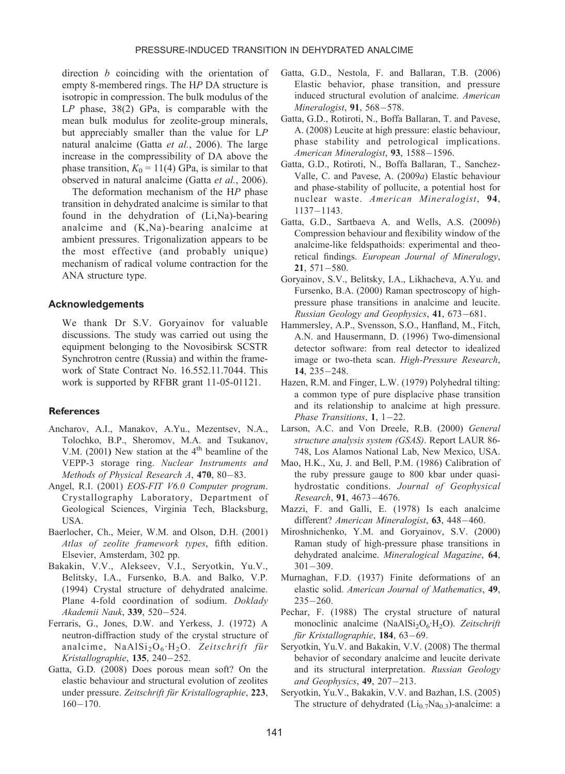direction b coinciding with the orientation of empty 8-membered rings. The HP DA structure is isotropic in compression. The bulk modulus of the LP phase, 38(2) GPa, is comparable with the mean bulk modulus for zeolite-group minerals, but appreciably smaller than the value for LP natural analcime (Gatta et al., 2006). The large increase in the compressibility of DA above the phase transition,  $K_0 = 11(4)$  GPa, is similar to that observed in natural analcime (Gatta et al., 2006).

The deformation mechanism of the HP phase transition in dehydrated analcime is similar to that found in the dehydration of (Li,Na)-bearing analcime and (K,Na)-bearing analcime at ambient pressures. Trigonalization appears to be the most effective (and probably unique) mechanism of radical volume contraction for the ANA structure type.

#### Acknowledgements

We thank Dr S.V. Goryainov for valuable discussions. The study was carried out using the equipment belonging to the Novosibirsk SCSTR Synchrotron centre (Russia) and within the framework of State Contract No. 16.552.11.7044. This work is supported by RFBR grant 11-05-01121.

#### **References**

- Ancharov, A.I., Manakov, A.Yu., Mezentsev, N.A., Tolochko, B.P., Sheromov, M.A. and Tsukanov, V.M. (2001) New station at the  $4<sup>th</sup>$  beamline of the VEPP-3 storage ring. Nuclear Instruments and Methods of Physical Research A, 470, 80–83.
- Angel, R.I. (2001) EOS-FIT V6.0 Computer program. Crystallography Laboratory, Department of Geological Sciences, Virginia Tech, Blacksburg, USA.
- Baerlocher, Ch., Meier, W.M. and Olson, D.H. (2001) Atlas of zeolite framework types, fifth edition. Elsevier, Amsterdam, 302 pp.
- Bakakin, V.V., Alekseev, V.I., Seryotkin, Yu.V., Belitsky, I.A., Fursenko, B.A. and Balko, V.P. (1994) Crystal structure of dehydrated analcime. Plane 4-fold coordination of sodium. Doklady Akademii Nauk, 339, 520-524.
- Ferraris, G., Jones, D.W. and Yerkess, J. (1972) A neutron-diffraction study of the crystal structure of analcime,  $NaAlSi<sub>2</sub>O<sub>6</sub>·H<sub>2</sub>O$ . Zeitschrift für Kristallographie, 135, 240-252.
- Gatta, G.D. (2008) Does porous mean soft? On the elastic behaviour and structural evolution of zeolites under pressure. Zeitschrift für Kristallographie, 223,  $160 - 170.$
- Gatta, G.D., Nestola, F. and Ballaran, T.B. (2006) Elastic behavior, phase transition, and pressure induced structural evolution of analcime. American Mineralogist, **91**, 568–578.
- Gatta, G.D., Rotiroti, N., Boffa Ballaran, T. and Pavese, A. (2008) Leucite at high pressure: elastic behaviour, phase stability and petrological implications. American Mineralogist, 93, 1588-1596.
- Gatta, G.D., Rotiroti, N., Boffa Ballaran, T., Sanchez-Valle, C. and Pavese, A. (2009a) Elastic behaviour and phase-stability of pollucite, a potential host for nuclear waste. American Mineralogist, 94, 1137-1143.
- Gatta, G.D., Sartbaeva A. and Wells, A.S. (2009b) Compression behaviour and flexibility window of the analcime-like feldspathoids: experimental and theoretical findings. European Journal of Mineralogy, 21, 571-580.
- Goryainov, S.V., Belitsky, I.A., Likhacheva, A.Yu. and Fursenko, B.A. (2000) Raman spectroscopy of highpressure phase transitions in analcime and leucite. Russian Geology and Geophysics, 41, 673-681.
- Hammersley, A.P., Svensson, S.O., Hanfland, M., Fitch, A.N. and Hausermann, D. (1996) Two-dimensional detector software: from real detector to idealized image or two-theta scan. High-Pressure Research, 14, 235-248.
- Hazen, R.M. and Finger, L.W. (1979) Polyhedral tilting: a common type of pure displacive phase transition and its relationship to analcime at high pressure. Phase Transitions,  $1, 1-22$ .
- Larson, A.C. and Von Dreele, R.B. (2000) General structure analysis system (GSAS). Report LAUR 86- 748, Los Alamos National Lab, New Mexico, USA.
- Mao, H.K., Xu, J. and Bell, P.M. (1986) Calibration of the ruby pressure gauge to 800 kbar under quasihydrostatic conditions. Journal of Geophysical Research, 91, 4673-4676.
- Mazzi, F. and Galli, E. (1978) Is each analcime different? American Mineralogist, 63, 448-460.
- Miroshnichenko, Y.M. and Goryainov, S.V. (2000) Raman study of high-pressure phase transitions in dehydrated analcime. Mineralogical Magazine, 64, 301-309.
- Murnaghan, F.D. (1937) Finite deformations of an elastic solid. American Journal of Mathematics, 49, 235-260.
- Pechar, F. (1988) The crystal structure of natural monoclinic analcime (NaAlSi<sub>2</sub>O<sub>6</sub>·H<sub>2</sub>O). Zeitschrift für Kristallographie, **184**, 63–69.
- Seryotkin, Yu.V. and Bakakin, V.V. (2008) The thermal behavior of secondary analcime and leucite derivate and its structural interpretation. Russian Geology and Geophysics, 49, 207-213.
- Seryotkin, Yu.V., Bakakin, V.V. and Bazhan, I.S. (2005) The structure of dehydrated  $(Li_{0.7}Na_{0.3})$ -analcime: a